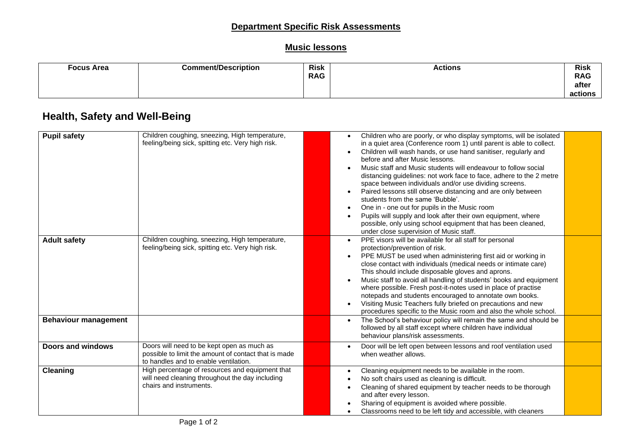### **Department Specific Risk Assessments**

### **Music lessons**

| <b>Focus Area</b> | <b>Comment/Description</b> | <b>Risk</b> | <b>Actions</b> | <b>Risk</b> |
|-------------------|----------------------------|-------------|----------------|-------------|
|                   |                            | <b>RAG</b>  |                | <b>RAG</b>  |
|                   |                            |             |                | after       |
|                   |                            |             |                | actions     |

# **Health, Safety and Well-Being**

| <b>Pupil safety</b>         | Children coughing, sneezing, High temperature,<br>feeling/being sick, spitting etc. Very high risk.                                         | Children who are poorly, or who display symptoms, will be isolated<br>in a quiet area (Conference room 1) until parent is able to collect.<br>Children will wash hands, or use hand sanitiser, regularly and<br>before and after Music lessons.<br>Music staff and Music students will endeavour to follow social<br>distancing guidelines: not work face to face, adhere to the 2 metre<br>space between individuals and/or use dividing screens.<br>Paired lessons still observe distancing and are only between<br>students from the same 'Bubble'.<br>One in - one out for pupils in the Music room<br>Pupils will supply and look after their own equipment, where<br>possible, only using school equipment that has been cleaned,<br>under close supervision of Music staff. |  |
|-----------------------------|---------------------------------------------------------------------------------------------------------------------------------------------|------------------------------------------------------------------------------------------------------------------------------------------------------------------------------------------------------------------------------------------------------------------------------------------------------------------------------------------------------------------------------------------------------------------------------------------------------------------------------------------------------------------------------------------------------------------------------------------------------------------------------------------------------------------------------------------------------------------------------------------------------------------------------------|--|
| <b>Adult safety</b>         | Children coughing, sneezing, High temperature,<br>feeling/being sick, spitting etc. Very high risk.                                         | PPE visors will be available for all staff for personal<br>protection/prevention of risk.<br>PPE MUST be used when administering first aid or working in<br>close contact with individuals (medical needs or intimate care)<br>This should include disposable gloves and aprons.<br>Music staff to avoid all handling of students' books and equipment<br>where possible. Fresh post-it-notes used in place of practise<br>notepads and students encouraged to annotate own books.<br>Visiting Music Teachers fully briefed on precautions and new<br>procedures specific to the Music room and also the whole school.                                                                                                                                                             |  |
| <b>Behaviour management</b> |                                                                                                                                             | The School's behaviour policy will remain the same and should be<br>$\bullet$<br>followed by all staff except where children have individual<br>behaviour plans/risk assessments.                                                                                                                                                                                                                                                                                                                                                                                                                                                                                                                                                                                                  |  |
| <b>Doors and windows</b>    | Doors will need to be kept open as much as<br>possible to limit the amount of contact that is made<br>to handles and to enable ventilation. | Door will be left open between lessons and roof ventilation used<br>when weather allows.                                                                                                                                                                                                                                                                                                                                                                                                                                                                                                                                                                                                                                                                                           |  |
| Cleaning                    | High percentage of resources and equipment that<br>will need cleaning throughout the day including<br>chairs and instruments.               | Cleaning equipment needs to be available in the room.<br>$\bullet$<br>No soft chairs used as cleaning is difficult.<br>Cleaning of shared equipment by teacher needs to be thorough<br>and after every lesson.<br>Sharing of equipment is avoided where possible.<br>Classrooms need to be left tidy and accessible, with cleaners                                                                                                                                                                                                                                                                                                                                                                                                                                                 |  |